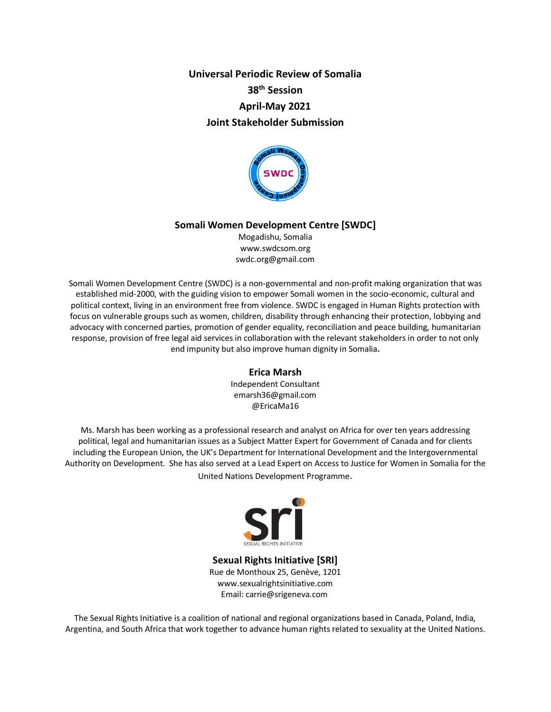**Universal Periodic Review of Somalia 38th Session April-May 2021 Joint Stakeholder Submission**



#### **Somali Women Development Centre [SWDC]**

Mogadishu, Somalia www.swdcsom.org swdc.org@gmail.com

Somali Women Development Centre (SWDC) is a non-governmental and non-profit making organization that was established mid-2000, with the guiding vision to empower Somali women in the socio-economic, cultural and political context, living in an environment free from violence. SWDC is engaged in Human Rights protection with focus on vulnerable groups such as women, children, disability through enhancing their protection, lobbying and advocacy with concerned parties, promotion of gender equality, reconciliation and peace building, humanitarian response, provision of free legal aid services in collaboration with the relevant stakeholders in order to not only end impunity but also improve human dignity in Somalia**.**

#### **Erica Marsh**

Independent Consultant emarsh36@gmail.com @EricaMa16

Ms. Marsh has been working as a professional research and analyst on Africa for over ten years addressing political, legal and humanitarian issues as a Subject Matter Expert for Government of Canada and for clients including the European Union, the UK's Department for International Development and the Intergovernmental Authority on Development. She has also served at a Lead Expert on Access to Justice for Women in Somalia for the United Nations Development Programme.



**Sexual Rights Initiative [SRI]** Rue de Monthoux 25, Genève, 1201 www.sexualrightsinitiative.com Email: carrie@srigeneva.com

The Sexual Rights Initiative is a coalition of national and regional organizations based in Canada, Poland, India, Argentina, and South Africa that work together to advance human rights related to sexuality at the United Nations.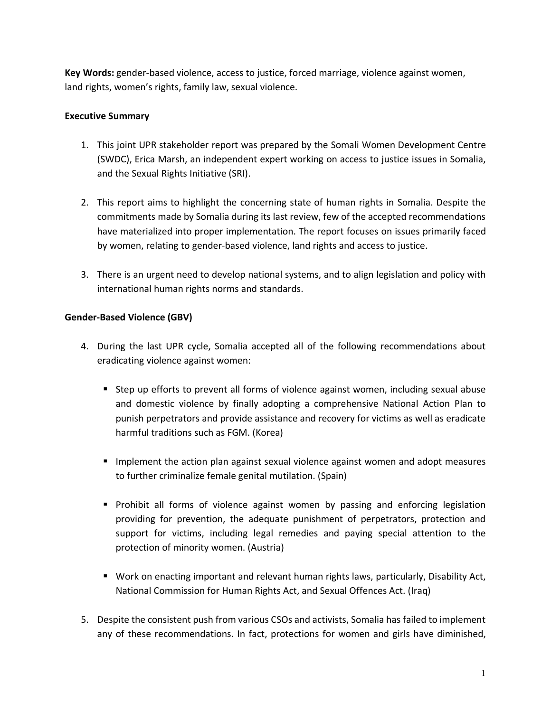**Key Words:** gender-based violence, access to justice, forced marriage, violence against women, land rights, women's rights, family law, sexual violence.

## **Executive Summary**

- 1. This joint UPR stakeholder report was prepared by the Somali Women Development Centre (SWDC), Erica Marsh, an independent expert working on access to justice issues in Somalia, and the Sexual Rights Initiative (SRI).
- 2. This report aims to highlight the concerning state of human rights in Somalia. Despite the commitments made by Somalia during its last review, few of the accepted recommendations have materialized into proper implementation. The report focuses on issues primarily faced by women, relating to gender-based violence, land rights and access to justice.
- 3. There is an urgent need to develop national systems, and to align legislation and policy with international human rights norms and standards.

### **Gender-Based Violence (GBV)**

- 4. During the last UPR cycle, Somalia accepted all of the following recommendations about eradicating violence against women:
	- Step up efforts to prevent all forms of violence against women, including sexual abuse and domestic violence by finally adopting a comprehensive National Action Plan to punish perpetrators and provide assistance and recovery for victims as well as eradicate harmful traditions such as FGM. (Korea)
	- Implement the action plan against sexual violence against women and adopt measures to further criminalize female genital mutilation. (Spain)
	- Prohibit all forms of violence against women by passing and enforcing legislation providing for prevention, the adequate punishment of perpetrators, protection and support for victims, including legal remedies and paying special attention to the protection of minority women. (Austria)
	- Work on enacting important and relevant human rights laws, particularly, Disability Act, National Commission for Human Rights Act, and Sexual Offences Act. (Iraq)
- 5. Despite the consistent push from various CSOs and activists, Somalia has failed to implement any of these recommendations. In fact, protections for women and girls have diminished,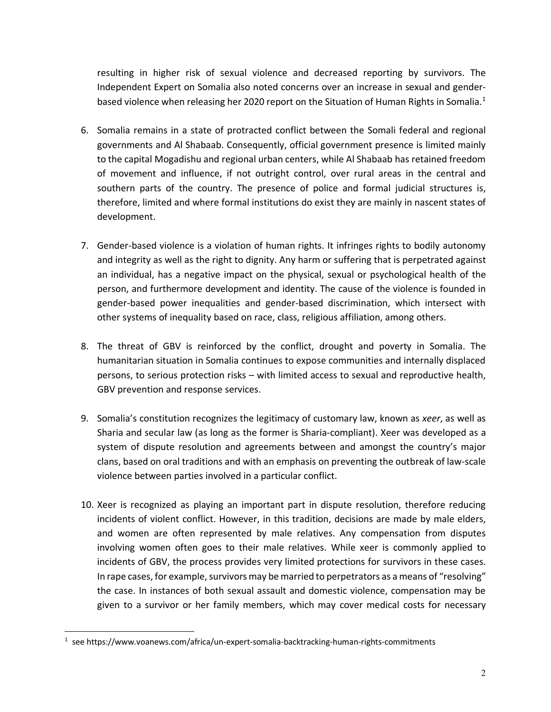resulting in higher risk of sexual violence and decreased reporting by survivors. The Independent Expert on Somalia also noted concerns over an increase in sexual and genderbased violence when releasing her 2020 report on the Situation of Human Rights in Somalia.<sup>1</sup>

- 6. Somalia remains in a state of protracted conflict between the Somali federal and regional governments and Al Shabaab. Consequently, official government presence is limited mainly to the capital Mogadishu and regional urban centers, while Al Shabaab has retained freedom of movement and influence, if not outright control, over rural areas in the central and southern parts of the country. The presence of police and formal judicial structures is, therefore, limited and where formal institutions do exist they are mainly in nascent states of development.
- 7. Gender-based violence is a violation of human rights. It infringes rights to bodily autonomy and integrity as well as the right to dignity. Any harm or suffering that is perpetrated against an individual, has a negative impact on the physical, sexual or psychological health of the person, and furthermore development and identity. The cause of the violence is founded in gender-based power inequalities and gender-based discrimination, which intersect with other systems of inequality based on race, class, religious affiliation, among others.
- 8. The threat of GBV is reinforced by the conflict, drought and poverty in Somalia. The humanitarian situation in Somalia continues to expose communities and internally displaced persons, to serious protection risks – with limited access to sexual and reproductive health, GBV prevention and response services.
- 9. Somalia's constitution recognizes the legitimacy of customary law, known as *xeer*, as well as Sharia and secular law (as long as the former is Sharia-compliant). Xeer was developed as a system of dispute resolution and agreements between and amongst the country's major clans, based on oral traditions and with an emphasis on preventing the outbreak of law-scale violence between parties involved in a particular conflict.
- 10. Xeer is recognized as playing an important part in dispute resolution, therefore reducing incidents of violent conflict. However, in this tradition, decisions are made by male elders, and women are often represented by male relatives. Any compensation from disputes involving women often goes to their male relatives. While xeer is commonly applied to incidents of GBV, the process provides very limited protections for survivors in these cases. In rape cases, for example, survivors may be married to perpetrators as a means of "resolving" the case. In instances of both sexual assault and domestic violence, compensation may be given to a survivor or her family members, which may cover medical costs for necessary

 $\frac{1}{1}$  $1$  see https://www.voanews.com/africa/un-expert-somalia-backtracking-human-rights-commitments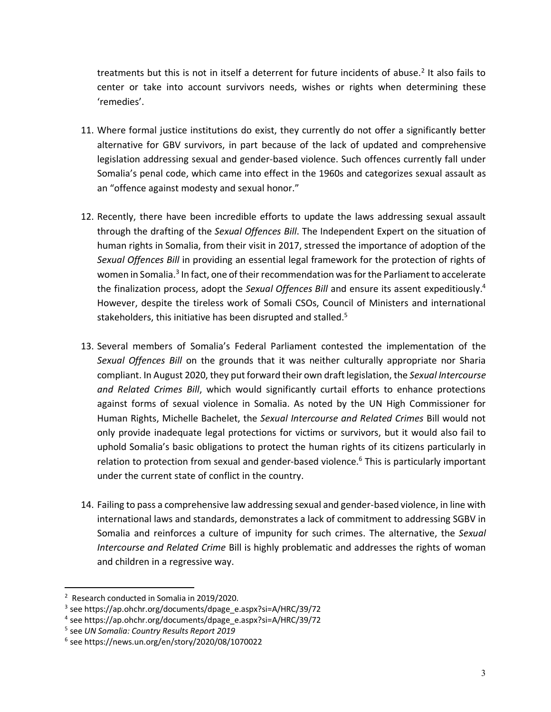treatments but this is not in itself a deterrent for future incidents of abuse.<sup>2</sup> It also fails to center or take into account survivors needs, wishes or rights when determining these 'remedies'.

- 11. Where formal justice institutions do exist, they currently do not offer a significantly better alternative for GBV survivors, in part because of the lack of updated and comprehensive legislation addressing sexual and gender-based violence. Such offences currently fall under Somalia's penal code, which came into effect in the 1960s and categorizes sexual assault as an "offence against modesty and sexual honor."
- 12. Recently, there have been incredible efforts to update the laws addressing sexual assault through the drafting of the *Sexual Offences Bill*. The Independent Expert on the situation of human rights in Somalia, from their visit in 2017, stressed the importance of adoption of the *Sexual Offences Bill* in providing an essential legal framework for the protection of rights of women in Somalia.<sup>3</sup> In fact, one of their recommendation was for the Parliament to accelerate the finalization process, adopt the *Sexual Offences Bill* and ensure its assent expeditiously.4 However, despite the tireless work of Somali CSOs, Council of Ministers and international stakeholders, this initiative has been disrupted and stalled.<sup>5</sup>
- 13. Several members of Somalia's Federal Parliament contested the implementation of the *Sexual Offences Bill* on the grounds that it was neither culturally appropriate nor Sharia compliant. In August 2020, they put forward their own draft legislation, the *Sexual Intercourse and Related Crimes Bill*, which would significantly curtail efforts to enhance protections against forms of sexual violence in Somalia. As noted by the UN High Commissioner for Human Rights, Michelle Bachelet, the *Sexual Intercourse and Related Crimes* Bill would not only provide inadequate legal protections for victims or survivors, but it would also fail to uphold Somalia's basic obligations to protect the human rights of its citizens particularly in relation to protection from sexual and gender-based violence.<sup>6</sup> This is particularly important under the current state of conflict in the country.
- 14. Failing to pass a comprehensive law addressing sexual and gender-based violence, in line with international laws and standards, demonstrates a lack of commitment to addressing SGBV in Somalia and reinforces a culture of impunity for such crimes. The alternative, the *Sexual Intercourse and Related Crime* Bill is highly problematic and addresses the rights of woman and children in a regressive way.

 <sup>2</sup> Research conducted in Somalia in 2019/2020.

<sup>&</sup>lt;sup>3</sup> see https://ap.ohchr.org/documents/dpage\_e.aspx?si=A/HRC/39/72

<sup>4</sup> see https://ap.ohchr.org/documents/dpage\_e.aspx?si=A/HRC/39/72

<sup>5</sup> see *UN Somalia: Country Results Report 2019*

 $6$  see https://news.un.org/en/story/2020/08/1070022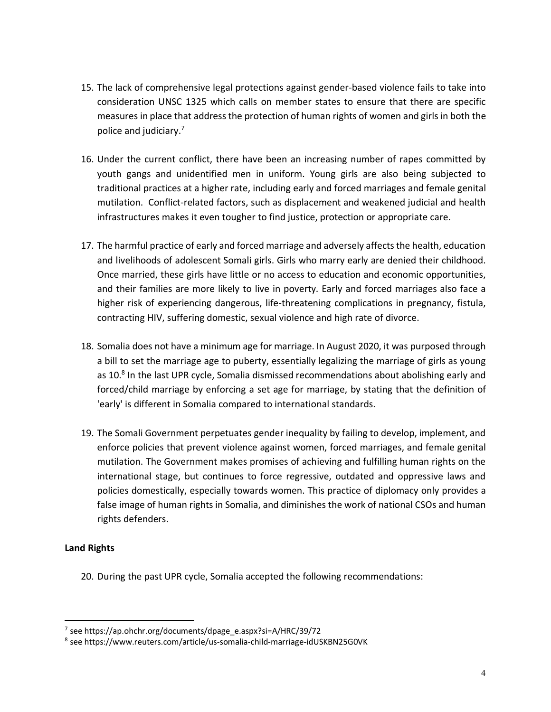- 15. The lack of comprehensive legal protections against gender-based violence fails to take into consideration UNSC 1325 which calls on member states to ensure that there are specific measures in place that address the protection of human rights of women and girls in both the police and judiciary.7
- 16. Under the current conflict, there have been an increasing number of rapes committed by youth gangs and unidentified men in uniform. Young girls are also being subjected to traditional practices at a higher rate, including early and forced marriages and female genital mutilation. Conflict-related factors, such as displacement and weakened judicial and health infrastructures makes it even tougher to find justice, protection or appropriate care.
- 17. The harmful practice of early and forced marriage and adversely affects the health, education and livelihoods of adolescent Somali girls. Girls who marry early are denied their childhood. Once married, these girls have little or no access to education and economic opportunities, and their families are more likely to live in poverty. Early and forced marriages also face a higher risk of experiencing dangerous, life-threatening complications in pregnancy, fistula, contracting HIV, suffering domestic, sexual violence and high rate of divorce.
- 18. Somalia does not have a minimum age for marriage. In August 2020, it was purposed through a bill to set the marriage age to puberty, essentially legalizing the marriage of girls as young as 10.<sup>8</sup> In the last UPR cycle, Somalia dismissed recommendations about abolishing early and forced/child marriage by enforcing a set age for marriage, by stating that the definition of 'early' is different in Somalia compared to international standards.
- 19. The Somali Government perpetuates gender inequality by failing to develop, implement, and enforce policies that prevent violence against women, forced marriages, and female genital mutilation. The Government makes promises of achieving and fulfilling human rights on the international stage, but continues to force regressive, outdated and oppressive laws and policies domestically, especially towards women. This practice of diplomacy only provides a false image of human rights in Somalia, and diminishes the work of national CSOs and human rights defenders.

# **Land Rights**

20. During the past UPR cycle, Somalia accepted the following recommendations:

 <sup>7</sup> see https://ap.ohchr.org/documents/dpage\_e.aspx?si=A/HRC/39/72

<sup>8</sup> see https://www.reuters.com/article/us-somalia-child-marriage-idUSKBN25G0VK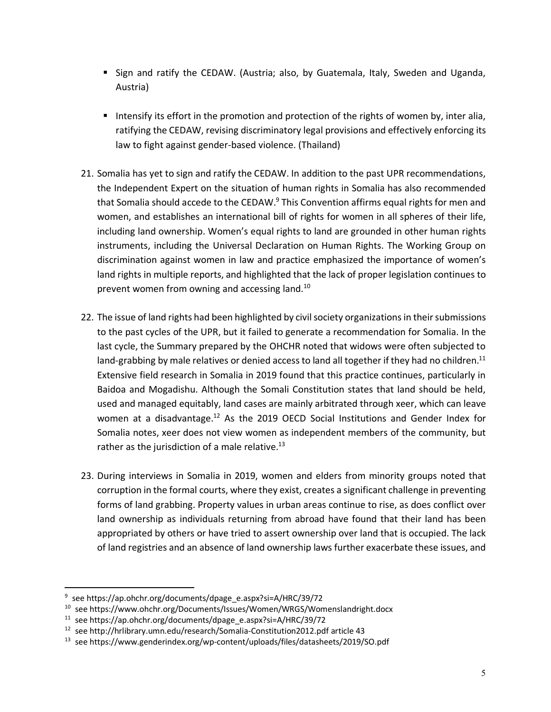- § Sign and ratify the CEDAW. (Austria; also, by Guatemala, Italy, Sweden and Uganda, Austria)
- Intensify its effort in the promotion and protection of the rights of women by, inter alia, ratifying the CEDAW, revising discriminatory legal provisions and effectively enforcing its law to fight against gender-based violence. (Thailand)
- 21. Somalia has yet to sign and ratify the CEDAW. In addition to the past UPR recommendations, the Independent Expert on the situation of human rights in Somalia has also recommended that Somalia should accede to the CEDAW.<sup>9</sup> This Convention affirms equal rights for men and women, and establishes an international bill of rights for women in all spheres of their life, including land ownership. Women's equal rights to land are grounded in other human rights instruments, including the Universal Declaration on Human Rights. The Working Group on discrimination against women in law and practice emphasized the importance of women's land rights in multiple reports, and highlighted that the lack of proper legislation continues to prevent women from owning and accessing land.10
- 22. The issue of land rights had been highlighted by civil society organizations in their submissions to the past cycles of the UPR, but it failed to generate a recommendation for Somalia. In the last cycle, the Summary prepared by the OHCHR noted that widows were often subjected to land-grabbing by male relatives or denied access to land all together if they had no children.<sup>11</sup> Extensive field research in Somalia in 2019 found that this practice continues, particularly in Baidoa and Mogadishu. Although the Somali Constitution states that land should be held, used and managed equitably, land cases are mainly arbitrated through xeer, which can leave women at a disadvantage.<sup>12</sup> As the 2019 OECD Social Institutions and Gender Index for Somalia notes, xeer does not view women as independent members of the community, but rather as the jurisdiction of a male relative. $^{13}$
- 23. During interviews in Somalia in 2019, women and elders from minority groups noted that corruption in the formal courts, where they exist, creates a significant challenge in preventing forms of land grabbing. Property values in urban areas continue to rise, as does conflict over land ownership as individuals returning from abroad have found that their land has been appropriated by others or have tried to assert ownership over land that is occupied. The lack of land registries and an absence of land ownership laws further exacerbate these issues, and

<sup>&</sup>lt;sup>9</sup> see https://ap.ohchr.org/documents/dpage\_e.aspx?si=A/HRC/39/72

<sup>10</sup> see https://www.ohchr.org/Documents/Issues/Women/WRGS/Womenslandright.docx

<sup>&</sup>lt;sup>11</sup> see https://ap.ohchr.org/documents/dpage\_e.aspx?si=A/HRC/39/72<br><sup>12</sup> see http://hrlibrary.umn.edu/research/Somalia-Constitution2012.pdf article 43

<sup>13</sup> see https://www.genderindex.org/wp-content/uploads/files/datasheets/2019/SO.pdf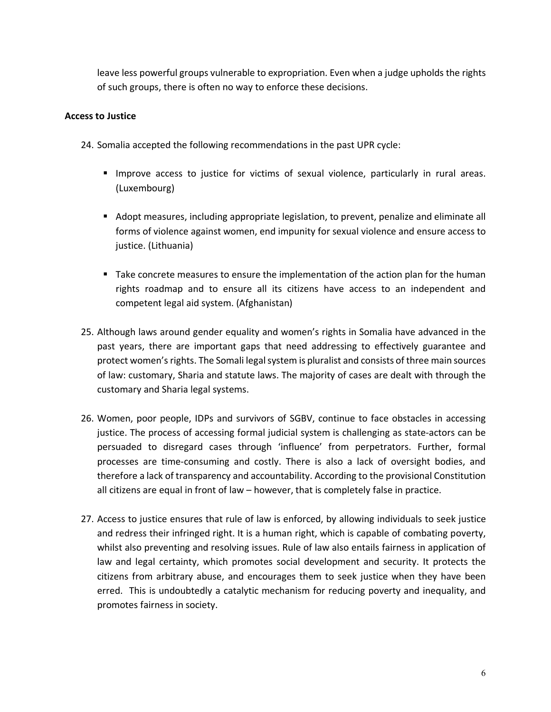leave less powerful groups vulnerable to expropriation. Even when a judge upholds the rights of such groups, there is often no way to enforce these decisions.

### **Access to Justice**

- 24. Somalia accepted the following recommendations in the past UPR cycle:
	- § Improve access to justice for victims of sexual violence, particularly in rural areas. (Luxembourg)
	- Adopt measures, including appropriate legislation, to prevent, penalize and eliminate all forms of violence against women, end impunity for sexual violence and ensure access to justice. (Lithuania)
	- Take concrete measures to ensure the implementation of the action plan for the human rights roadmap and to ensure all its citizens have access to an independent and competent legal aid system. (Afghanistan)
- 25. Although laws around gender equality and women's rights in Somalia have advanced in the past years, there are important gaps that need addressing to effectively guarantee and protect women's rights. The Somali legal system is pluralist and consists of three main sources of law: customary, Sharia and statute laws. The majority of cases are dealt with through the customary and Sharia legal systems.
- 26. Women, poor people, IDPs and survivors of SGBV, continue to face obstacles in accessing justice. The process of accessing formal judicial system is challenging as state-actors can be persuaded to disregard cases through 'influence' from perpetrators. Further, formal processes are time-consuming and costly. There is also a lack of oversight bodies, and therefore a lack of transparency and accountability. According to the provisional Constitution all citizens are equal in front of law – however, that is completely false in practice.
- 27. Access to justice ensures that rule of law is enforced, by allowing individuals to seek justice and redress their infringed right. It is a human right, which is capable of combating poverty, whilst also preventing and resolving issues. Rule of law also entails fairness in application of law and legal certainty, which promotes social development and security. It protects the citizens from arbitrary abuse, and encourages them to seek justice when they have been erred. This is undoubtedly a catalytic mechanism for reducing poverty and inequality, and promotes fairness in society.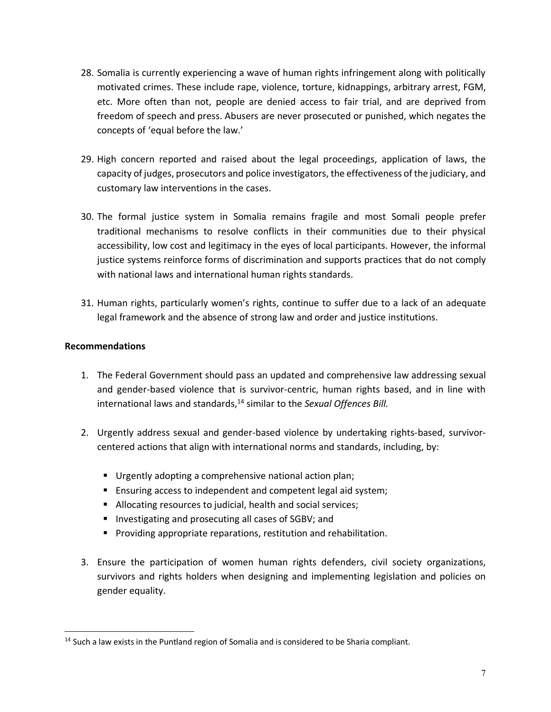- 28. Somalia is currently experiencing a wave of human rights infringement along with politically motivated crimes. These include rape, violence, torture, kidnappings, arbitrary arrest, FGM, etc. More often than not, people are denied access to fair trial, and are deprived from freedom of speech and press. Abusers are never prosecuted or punished, which negates the concepts of 'equal before the law.'
- 29. High concern reported and raised about the legal proceedings, application of laws, the capacity of judges, prosecutors and police investigators, the effectiveness of the judiciary, and customary law interventions in the cases.
- 30. The formal justice system in Somalia remains fragile and most Somali people prefer traditional mechanisms to resolve conflicts in their communities due to their physical accessibility, low cost and legitimacy in the eyes of local participants. However, the informal justice systems reinforce forms of discrimination and supports practices that do not comply with national laws and international human rights standards.
- 31. Human rights, particularly women's rights, continue to suffer due to a lack of an adequate legal framework and the absence of strong law and order and justice institutions.

# **Recommendations**

- 1. The Federal Government should pass an updated and comprehensive law addressing sexual and gender-based violence that is survivor-centric, human rights based, and in line with international laws and standards, <sup>14</sup> similar to the *Sexual Offences Bill.*
- 2. Urgently address sexual and gender-based violence by undertaking rights-based, survivorcentered actions that align with international norms and standards, including, by:
	- Urgently adopting a comprehensive national action plan;
	- Ensuring access to independent and competent legal aid system;
	- Allocating resources to judicial, health and social services;
	- Investigating and prosecuting all cases of SGBV; and
	- Providing appropriate reparations, restitution and rehabilitation.
- 3. Ensure the participation of women human rights defenders, civil society organizations, survivors and rights holders when designing and implementing legislation and policies on gender equality.

 $14$  Such a law exists in the Puntland region of Somalia and is considered to be Sharia compliant.